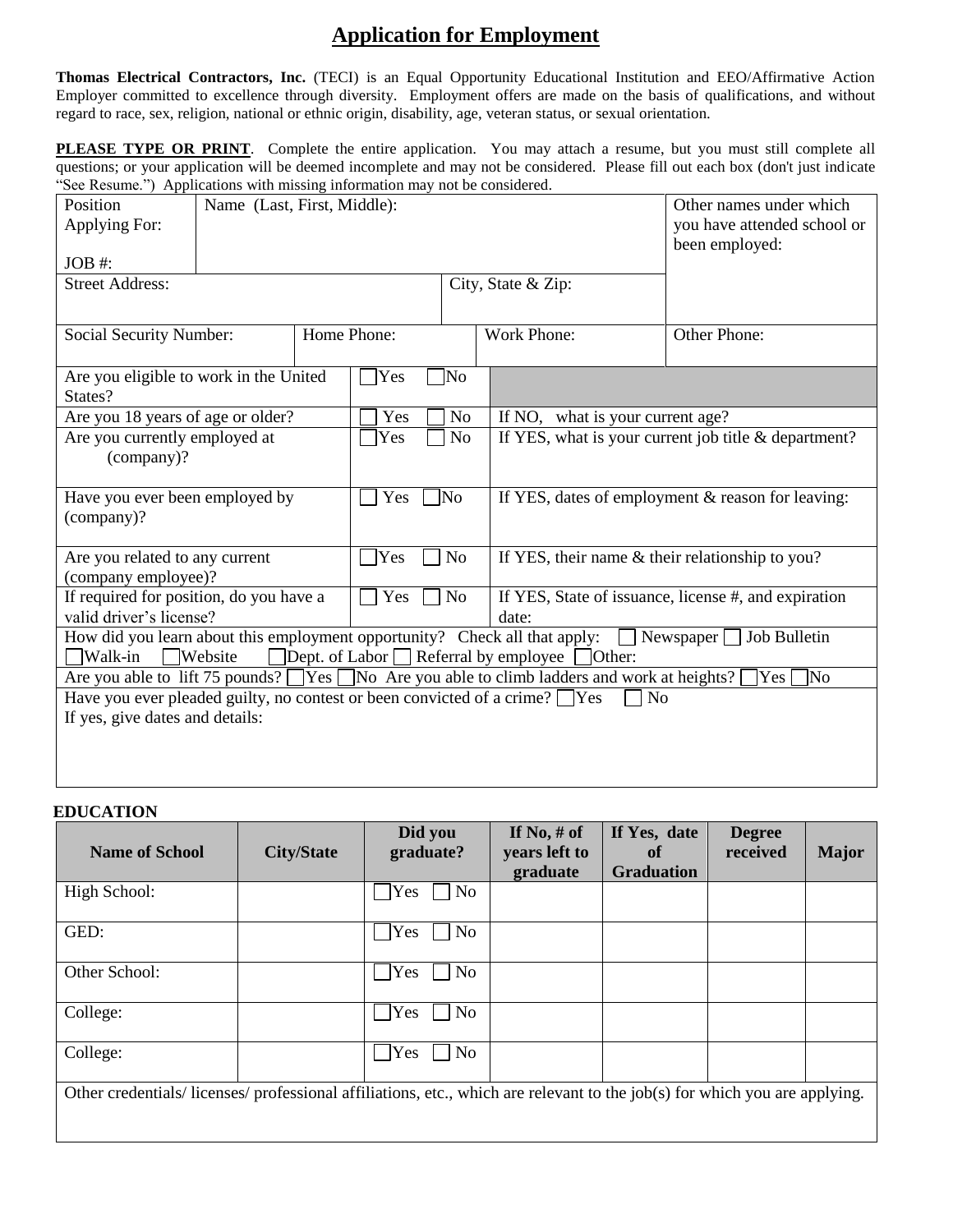## **Application for Employment**

**Thomas Electrical Contractors, Inc.** (TECI) is an Equal Opportunity Educational Institution and EEO/Affirmative Action Employer committed to excellence through diversity. Employment offers are made on the basis of qualifications, and without regard to race, sex, religion, national or ethnic origin, disability, age, veteran status, or sexual orientation.

**PLEASE TYPE OR PRINT**. Complete the entire application. You may attach a resume, but you must still complete all questions; or your application will be deemed incomplete and may not be considered. Please fill out each box (don't just indicate "See Resume.") Applications with missing information may not be considered.

| Position<br>Applying For:                                                                                                                                                                                         | Name (Last, First, Middle): |           |                | Other names under which<br>you have attended school or<br>been employed: |                                  |  |  |  |
|-------------------------------------------------------------------------------------------------------------------------------------------------------------------------------------------------------------------|-----------------------------|-----------|----------------|--------------------------------------------------------------------------|----------------------------------|--|--|--|
| JOB #:                                                                                                                                                                                                            |                             |           |                |                                                                          |                                  |  |  |  |
| <b>Street Address:</b>                                                                                                                                                                                            |                             |           |                |                                                                          | City, State & Zip:               |  |  |  |
| Home Phone:<br>Social Security Number:                                                                                                                                                                            |                             |           | Work Phone:    |                                                                          | Other Phone:                     |  |  |  |
| Are you eligible to work in the United<br>States?                                                                                                                                                                 |                             |           | Yes            | No]                                                                      |                                  |  |  |  |
| Are you 18 years of age or older?                                                                                                                                                                                 |                             |           | Yes            | N <sub>o</sub>                                                           | If NO, what is your current age? |  |  |  |
| Are you currently employed at<br>(company)?                                                                                                                                                                       |                             | Yes       | N <sub>o</sub> | If YES, what is your current job title $\&$ department?                  |                                  |  |  |  |
| Have you ever been employed by<br>(company)?                                                                                                                                                                      |                             | Yes       | ]Νo            | If YES, dates of employment $&$ reason for leaving:                      |                                  |  |  |  |
| Are you related to any current<br>(company employee)?                                                                                                                                                             |                             | Yes       | N <sub>o</sub> | If YES, their name & their relationship to you?                          |                                  |  |  |  |
| If required for position, do you have a<br>valid driver's license?                                                                                                                                                |                             | Yes<br>No |                | If YES, State of issuance, license #, and expiration<br>date:            |                                  |  |  |  |
| How did you learn about this employment opportunity? Check all that apply:<br>Job Bulletin<br>Newspaper<br>$\Box$ Dept. of Labor $\Box$ Referral by employee<br>$\Box$ Other:<br>$\Box$ Walk-in<br>$\Box$ Website |                             |           |                |                                                                          |                                  |  |  |  |
| Are you able to lift 75 pounds? TYes No Are you able to climb ladders and work at heights?<br>No<br>Yes                                                                                                           |                             |           |                |                                                                          |                                  |  |  |  |
| Have you ever pleaded guilty, no contest or been convicted of a crime? $\Box$ Yes<br>No                                                                                                                           |                             |           |                |                                                                          |                                  |  |  |  |
| If yes, give dates and details:                                                                                                                                                                                   |                             |           |                |                                                                          |                                  |  |  |  |
|                                                                                                                                                                                                                   |                             |           |                |                                                                          |                                  |  |  |  |

## **EDUCATION**

| <b>Name of School</b>                                                                                                    | <b>City/State</b> | Did you<br>graduate?  | If No, $#$ of<br>years left to | If Yes, date<br>of | <b>Degree</b><br>received | <b>Major</b> |
|--------------------------------------------------------------------------------------------------------------------------|-------------------|-----------------------|--------------------------------|--------------------|---------------------------|--------------|
|                                                                                                                          |                   |                       | graduate                       | <b>Graduation</b>  |                           |              |
| High School:                                                                                                             |                   | No<br>Yes             |                                |                    |                           |              |
| GED:                                                                                                                     |                   | No.<br>Yes            |                                |                    |                           |              |
| Other School:                                                                                                            |                   | Yes<br>No             |                                |                    |                           |              |
| College:                                                                                                                 |                   | N <sub>o</sub><br>Yes |                                |                    |                           |              |
| College:                                                                                                                 |                   | No<br>Yes             |                                |                    |                           |              |
| Other credentials/licenses/professional affiliations, etc., which are relevant to the job(s) for which you are applying. |                   |                       |                                |                    |                           |              |